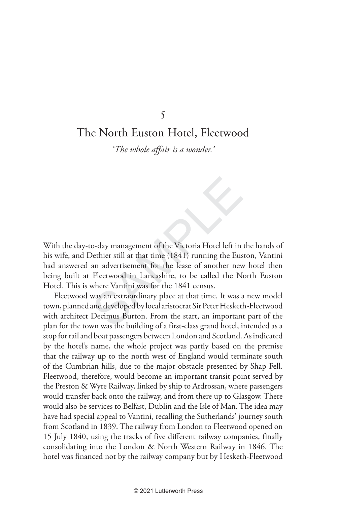## The North Euston Hotel, Fleetwood

*'The whole affair is a wonder.'*

5<br>
S<br>
c North Euston Hotel, Fleetwoo<br>
The whole affair is a wonder.'<br>
C The whole affair is a wonder.'<br>
C C The Wilder Consider the Victoria Hotel left in<br>
Dethier still at that time (1841) running the Eus<br>
an advertisemen With the day-to-day management of the Victoria Hotel left in the hands of his wife, and Dethier still at that time (1841) running the Euston, Vantini had answered an advertisement for the lease of another new hotel then being built at Fleetwood in Lancashire, to be called the North Euston Hotel. This is where Vantini was for the 1841 census.

Fleetwood was an extraordinary place at that time. It was a new model town, planned and developed by local aristocrat Sir Peter Hesketh-Fleetwood with architect Decimus Burton. From the start, an important part of the plan for the town was the building of a first-class grand hotel, intended as a stop for rail and boat passengers between London and Scotland. As indicated by the hotel's name, the whole project was partly based on the premise that the railway up to the north west of England would terminate south of the Cumbrian hills, due to the major obstacle presented by Shap Fell. Fleetwood, therefore, would become an important transit point served by the Preston & Wyre Railway, linked by ship to Ardrossan, where passengers would transfer back onto the railway, and from there up to Glasgow. There would also be services to Belfast, Dublin and the Isle of Man. The idea may have had special appeal to Vantini, recalling the Sutherlands' journey south from Scotland in 1839. The railway from London to Fleetwood opened on 15 July 1840, using the tracks of five different railway companies, finally consolidating into the London & North Western Railway in 1846. The hotel was financed not by the railway company but by Hesketh-Fleetwood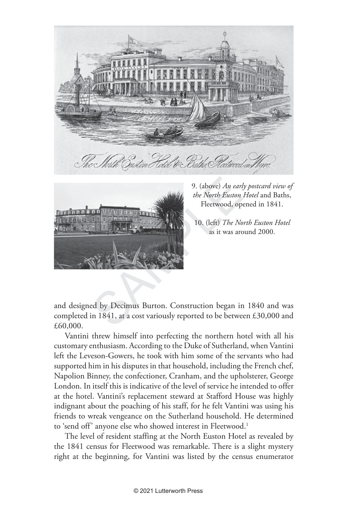



9. (above) *An early postcard view of the North Euston Hotel* and Baths, Fleetwood, opened in 1841.

10. (left) *The North Euston Hotel* as it was around 2000.

and designed by Decimus Burton. Construction began in 1840 and was completed in 1841, at a cost variously reported to be between £30,000 and £60,000.

Vantini threw himself into perfecting the northern hotel with all his customary enthusiasm. According to the Duke of Sutherland, when Vantini left the Leveson-Gowers, he took with him some of the servants who had supported him in his disputes in that household, including the French chef, Napolion Binney, the confectioner, Cranham, and the upholsterer, George London. In itself this is indicative of the level of service he intended to offer at the hotel. Vantini's replacement steward at Stafford House was highly indignant about the poaching of his staff, for he felt Vantini was using his friends to wreak vengeance on the Sutherland household. He determined to 'send off' anyone else who showed interest in Fleetwood. 1

The level of resident staffing at the North Euston Hotel as revealed by the 1841 census for Fleetwood was remarkable.There is a slight mystery right at the beginning, for Vantini was listed by the census enumerator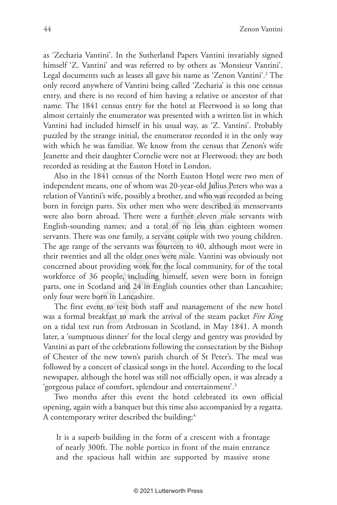as 'Zecharia Vantini'. In the Sutherland Papers Vantini invariably signed himself 'Z. Vantini' and was referred to by others as 'Monsieur Vantini'. Legal documents such as leases all gave his name as 'Zenon Vantini'. 2 The only record anywhere of Vantini being called 'Zecharia' is this one census entry, and there is no record of him having a relative or ancestor of that name. The 1841 census entry for the hotel at Fleetwood is so long that almost certainly the enumerator was presented with a written list in which Vantini had included himself in his usual way, as 'Z. Vantini'. Probably puzzled by the strange initial, the enumerator recorded it in the only way with which he was familiar. We know from the census that Zenon's wife Jeanette and their daughter Cornelie were not at Fleetwood; they are both recorded as residing at the Euston Hotel in London.

1041 census of the North Euston Floter were<br>reans, one of whom was 20-year-old Julius Peter<br>tini's wife, possibly a brother, and who was recor<br>n parts. Six other men who were described as<br>a a abroad. There were a further e Also in the 1841 census of the North Euston Hotel were two men of independent means, one of whom was 20-year-old Julius Peters who was a relation of Vantini's wife, possibly a brother, and who was recorded as being born in foreign parts. Six other men who were described as menservants were also born abroad. There were a further eleven male servants with English-sounding names; and a total of no less than eighteen women servants. There was one family, a servant couple with two young children. The age range of the servants was fourteen to 40, although most were in their twenties and all the older ones were male. Vantini was obviously not concerned about providing work for the local community, for of the total workforce of 36 people, including himself, seven were born in foreign parts, one in Scotland and 24 in English counties other than Lancashire; only four were born in Lancashire.

The first event to test both staff and management of the new hotel was a formal breakfast to mark the arrival of the steam packet *Fire King*  on a tidal test run from Ardrossan in Scotland, in May 1841. A month later, a 'sumptuous dinner' for the local clergy and gentry was provided by Vantini as part of the celebrations following the consecration by the Bishop of Chester of the new town's parish church of St Peter's. The meal was followed by a concert of classical songs in the hotel. According to the local newspaper, although the hotel was still not officially open, it was already a 'gorgeous palace of comfort, splendour and entertainment'. 3

Two months after this event the hotel celebrated its own official opening, again with a banquet but this time also accompanied by a regatta. A contemporary writer described the building: 4

It is a superb building in the form of a crescent with a frontage of nearly 300ft. The noble portico in front of the main entrance and the spacious hall within are supported by massive stone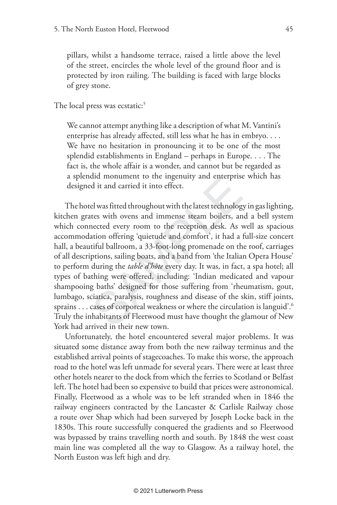pillars, whilst a handsome terrace, raised a little above the level of the street, encircles the whole level of the ground floor and is protected by iron railing. The building is faced with large blocks of grey stone.

The local press was ecstatic: 5

We cannot attempt anything like a description of what M. Vantini's enterprise has already affected, still less what he has in embryo. . . . We have no hesitation in pronouncing it to be one of the most splendid establishments in England – perhaps in Europe. . . . The fact is, the whole affair is a wonder, and cannot but be regarded as a splendid monument to the ingenuity and enterprise which has designed it and carried it into effect.

and monument to the ingenuity and enterprise<br>d it and carried it into effect.<br>el was fitted throughout with the latest technolog<br>tes with ovens and immense steam boilers, an<br>nected every room to the reception desk. As v<br>at The hotel was fitted throughout with the latest technology in gas lighting, kitchen grates with ovens and immense steam boilers, and a bell system which connected every room to the reception desk. As well as spacious accommodation offering 'quietude and comfort', it had a full-size concert hall, a beautiful ballroom, a 33-foot-long promenade on the roof, carriages of all descriptions, sailing boats, and a band from 'the Italian Opera House' to perform during the *table d'hôte* every day. It was, in fact, a spa hotel; all types of bathing were offered, including: 'Indian medicated and vapour shampooing baths' designed for those suffering from 'rheumatism, gout, lumbago, sciatica, paralysis, roughness and disease of the skin, stiff joints, sprains . . . cases of corporeal weakness or where the circulation is languid'.  $^{\circ}$ Truly the inhabitants of Fleetwood must have thought the glamour of New York had arrived in their new town.

Unfortunately, the hotel encountered several major problems. It was situated some distance away from both the new railway terminus and the established arrival points of stagecoaches. To make this worse, the approach road to the hotel was left unmade for several years. There were at least three other hotels nearer to the dock from which the ferries to Scotland or Belfast left. The hotel had been so expensive to build that prices were astronomical. Finally, Fleetwood as a whole was to be left stranded when in 1846 the railway engineers contracted by the Lancaster & Carlisle Railway chose a route over Shap which had been surveyed by Joseph Locke back in the 1830s. This route successfully conquered the gradients and so Fleetwood was bypassed by trains travelling north and south. By 1848 the west coast main line was completed all the way to Glasgow. As a railway hotel, the North Euston was left high and dry.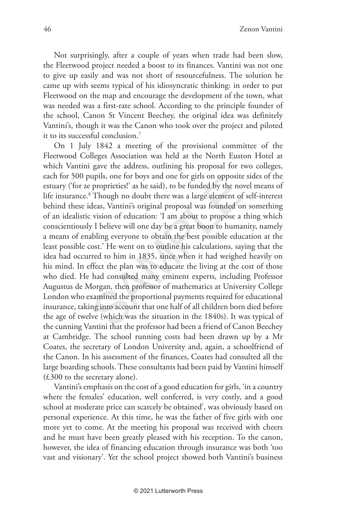Not surprisingly, after a couple of years when trade had been slow, the Fleetwood project needed a boost to its finances. Vantini was not one to give up easily and was not short of resourcefulness. The solution he came up with seems typical of his idiosyncratic thinking: in order to put Fleetwood on the map and encourage the development of the town, what was needed was a first-rate school. According to the principle founder of the school, Canon St Vincent Beechey, the original idea was definitely Vantini's, though it was the Canon who took over the project and piloted it to its successful conclusion. 7

uplis, one for boys and one for gifs on opposite<br>proprieties!' as he said), to be funded by the no<br>Though no doubt there was a large element of<br>deas, Vantini's original proposal was founded or<br>vision of education: 'I am ab On 1 July 1842 a meeting of the provisional committee of the Fleetwood Colleges Association was held at the North Euston Hotel at which Vantini gave the address, outlining his proposal for two colleges, each for 500 pupils, one for boys and one for girls on opposite sides of the estuary ('for ze proprieties!' as he said), to be funded by the novel means of life insurance. 8 Though no doubt there was a large element of self-interest behind these ideas, Vantini's original proposal was founded on something of an idealistic vision of education: 'I am about to propose a thing which conscientiously I believe will one day be a great boon to humanity, namely a means of enabling everyone to obtain the best possible education at the least possible cost.' He went on to outline his calculations, saying that the idea had occurred to him in 1835, since when it had weighed heavily on his mind. In effect the plan was to educate the living at the cost of those who died. He had consulted many eminent experts, including Professor Augustus de Morgan, then professor of mathematics at University College London who examined the proportional payments required for educational insurance, taking into account that one half of all children born died before the age of twelve (which was the situation in the 1840s). It was typical of the cunning Vantini that the professor had been a friend of Canon Beechey at Cambridge. The school running costs had been drawn up by a Mr Coates, the secretary of London University and, again, a schoolfriend of the Canon. In his assessment of the finances, Coates had consulted all the large boarding schools. These consultants had been paid by Vantini himself (£300 to the secretary alone).

Vantini's emphasis on the cost of a good education for girls, 'in a country where the females' education, well conferred, is very costly, and a good school at moderate price can scarcely be obtained', was obviously based on personal experience. At this time, he was the father of five girls with one more yet to come. At the meeting his proposal was received with cheers and he must have been greatly pleased with his reception. To the canon, however, the idea of financing education through insurance was both 'too vast and visionary'. Yet the school project showed both Vantini's business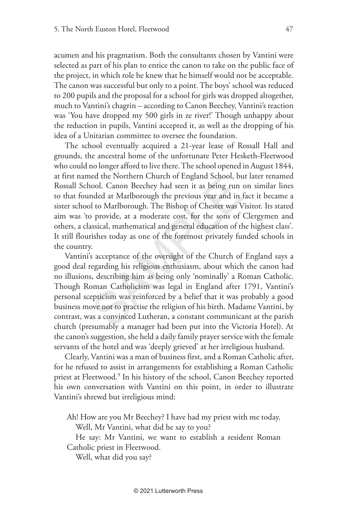acumen and his pragmatism. Both the consultants chosen by Vantini were selected as part of his plan to entice the canon to take on the public face of the project, in which role he knew that he himself would not be acceptable. The canon was successful but only to a point. The boys' school was reduced to 200 pupils and the proposal for a school for girls was dropped altogether, much to Vantini's chagrin – according to Canon Beechey, Vantini's reaction was 'You have dropped my 500 girls in ze river!' Though unhappy about the reduction in pupils, Vantini accepted it, as well as the dropping of his idea of a Unitarian committee to oversee the foundation.

The school eventually acquired a 21-year lease of Rossall Hall and grounds, the ancestral home of the unfortunate Peter Hesketh-Fleetwood who could no longer afford to live there. The school opened in August 1844, at first named the Northern Church of England School, but later renamed Rossall School. Canon Beechey had seen it as being run on similar lines to that founded at Marlborough the previous year and in fact it became a sister school to Marlborough. The Bishop of Chester was Visitor. Its stated aim was 'to provide, at a moderate cost, for the sons of Clergymen and others, a classical, mathematical and general education of the highest class'. It still flourishes today as one of the foremost privately funded schools in the country.

ed the Northern Church of England School, bt<br>cool. Canon Beechey had seen it as being run<br>anded at Marlborough. The Bishop of Chester was V<br>p provide, at a moderate cost, for the sons of<br>p provide, at a moderate cost, for Vantini's acceptance of the oversight of the Church of England says a good deal regarding his religious enthusiasm, about which the canon had no illusions, describing him as being only 'nominally' a Roman Catholic. Though Roman Catholicism was legal in England after 1791, Vantini's personal scepticism was reinforced by a belief that it was probably a good business move not to practise the religion of his birth. Madame Vantini, by contrast, was a convinced Lutheran, a constant communicant at the parish church (presumably a manager had been put into the Victoria Hotel). At the canon's suggestion, she held a daily family prayer service with the female servants of the hotel and was 'deeply grieved' at her irreligious husband.

Clearly, Vantini was a man of business first, and a Roman Catholic after, for he refused to assist in arrangements for establishing a Roman Catholic priest at Fleetwood. 9 In his history of the school, Canon Beechey reported his own conversation with Vantini on this point, in order to illustrate Vantini's shrewd but irreligious mind:

Ah! How are you Mr Beechey? I have had my priest with me today.

Well, Mr Vantini, what did he say to you?

He say: Mr Vantini, we want to establish a resident Roman Catholic priest in Fleetwood.

Well, what did you say?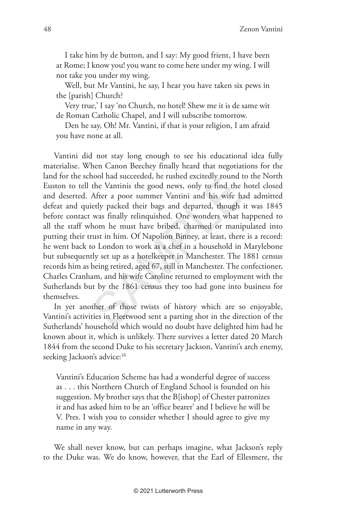I take him by de button, and I say: My good frient, I have been at Rome; I know you! you want to come here under my wing. I will not take you under my wing.

Well, but Mr Vantini, he say, I hear you have taken six pews in the [parish] Church?

Very true,' I say 'no Church, no hotel! Shew me it is de same wit de Roman Catholic Chapel, and I will subscribe tomorrow.

Den he say, Oh! Mr. Vantini, if that is your religion, I am afraid you have none at all.

nooi nad succeeded, he rusned excitedly round the Vantinis the good news, only to find the After a poor summer Vantini and his wife hierly packed their bags and departed, though was finally relinquished. One wonders what I Vantini did not stay long enough to see his educational idea fully materialise. When Canon Beechey finally heard that negotiations for the land for the school had succeeded, he rushed excitedly round to the North Euston to tell the Vantinis the good news, only to find the hotel closed and deserted. After a poor summer Vantini and his wife had admitted defeat and quietly packed their bags and departed, though it was 1845 before contact was finally relinquished. One wonders what happened to all the staff whom he must have bribed, charmed or manipulated into putting their trust in him. Of Napolion Binney, at least, there is a record: he went back to London to work as a chef in a household in Marylebone but subsequently set up as a hotelkeeper in Manchester. The 1881 census records him as being retired, aged 67, still in Manchester. The confectioner, Charles Cranham, and his wife Caroline returned to employment with the Sutherlands but by the 1861 census they too had gone into business for themselves.

In yet another of those twists of history which are so enjoyable, Vantini's activities in Fleetwood sent a parting shot in the direction of the Sutherlands' household which would no doubt have delighted him had he known about it, which is unlikely. There survives a letter dated 20 March 1844 from the second Duke to his secretary Jackson, Vantini's arch enemy, seeking Jackson's advice:<sup>10</sup>

Vantini's Education Scheme has had a wonderful degree of success as . . . this Northern Church of England School is founded on his suggestion. My brother says that the B[ishop] of Chester patronizes it and has asked him to be an 'office bearer' and I believe he will be V. Pres. I wish you to consider whether I should agree to give my name in any way.

We shall never know, but can perhaps imagine, what Jackson's reply to the Duke was. We do know, however, that the Earl of Ellesmere, the